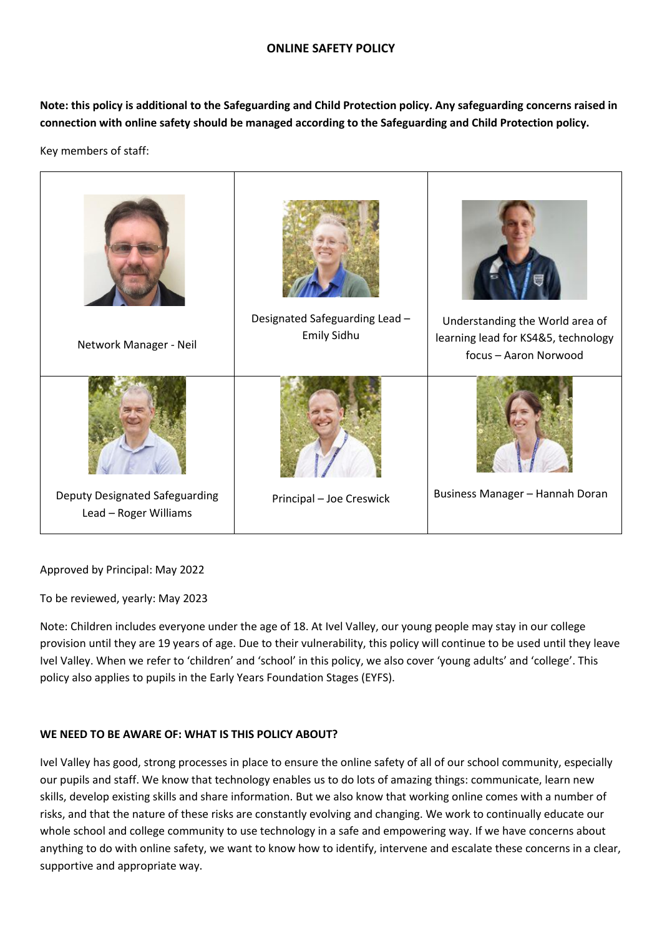## **ONLINE SAFETY POLICY**

**Note: this policy is additional to the Safeguarding and Child Protection policy. Any safeguarding concerns raised in connection with online safety should be managed according to the Safeguarding and Child Protection policy.**

Key members of staff:



Approved by Principal: May 2022

To be reviewed, yearly: May 2023

Note: Children includes everyone under the age of 18. At Ivel Valley, our young people may stay in our college provision until they are 19 years of age. Due to their vulnerability, this policy will continue to be used until they leave Ivel Valley. When we refer to 'children' and 'school' in this policy, we also cover 'young adults' and 'college'. This policy also applies to pupils in the Early Years Foundation Stages (EYFS).

# **WE NEED TO BE AWARE OF: WHAT IS THIS POLICY ABOUT?**

Ivel Valley has good, strong processes in place to ensure the online safety of all of our school community, especially our pupils and staff. We know that technology enables us to do lots of amazing things: communicate, learn new skills, develop existing skills and share information. But we also know that working online comes with a number of risks, and that the nature of these risks are constantly evolving and changing. We work to continually educate our whole school and college community to use technology in a safe and empowering way. If we have concerns about anything to do with online safety, we want to know how to identify, intervene and escalate these concerns in a clear, supportive and appropriate way.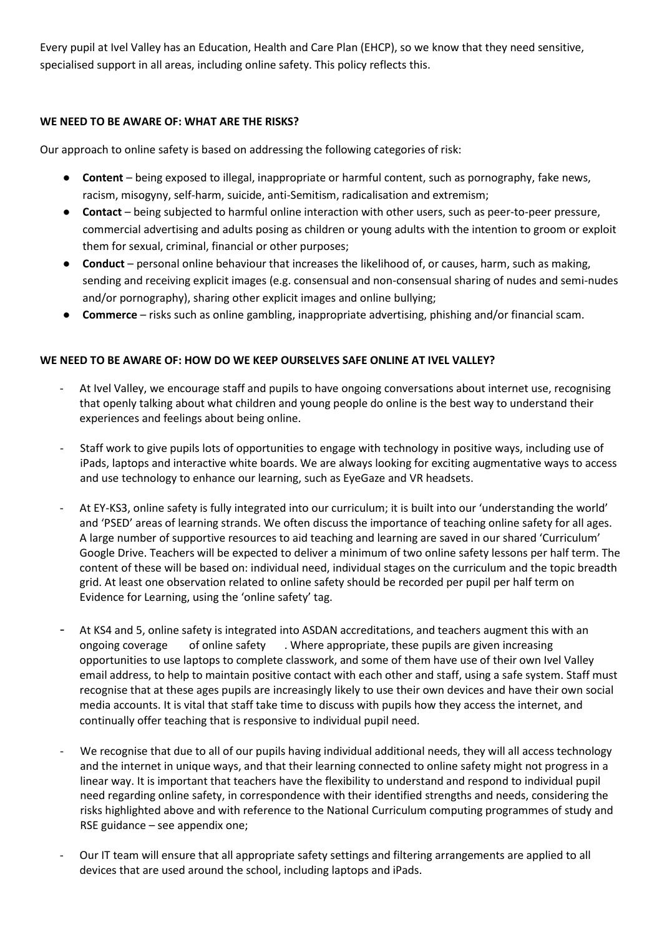Every pupil at Ivel Valley has an Education, Health and Care Plan (EHCP), so we know that they need sensitive, specialised support in all areas, including online safety. This policy reflects this.

# **WE NEED TO BE AWARE OF: WHAT ARE THE RISKS?**

Our approach to online safety is based on addressing the following categories of risk:

- **Content** being exposed to illegal, inappropriate or harmful content, such as pornography, fake news, racism, misogyny, self-harm, suicide, anti-Semitism, radicalisation and extremism;
- **Contact** being subjected to harmful online interaction with other users, such as peer-to-peer pressure, commercial advertising and adults posing as children or young adults with the intention to groom or exploit them for sexual, criminal, financial or other purposes;
- **Conduct** personal online behaviour that increases the likelihood of, or causes, harm, such as making, sending and receiving explicit images (e.g. consensual and non-consensual sharing of nudes and semi-nudes and/or pornography), sharing other explicit images and online bullying;
- **Commerce** risks such as online gambling, inappropriate advertising, phishing and/or financial scam.

# **WE NEED TO BE AWARE OF: HOW DO WE KEEP OURSELVES SAFE ONLINE AT IVEL VALLEY?**

- At Ivel Valley, we encourage staff and pupils to have ongoing conversations about internet use, recognising that openly talking about what children and young people do online is the best way to understand their experiences and feelings about being online.
- Staff work to give pupils lots of opportunities to engage with technology in positive ways, including use of iPads, laptops and interactive white boards. We are always looking for exciting augmentative ways to access and use technology to enhance our learning, such as EyeGaze and VR headsets.
- At EY-KS3, online safety is fully integrated into our curriculum; it is built into our 'understanding the world' and 'PSED' areas of learning strands. We often discuss the importance of teaching online safety for all ages. A large number of supportive resources to aid teaching and learning are saved in our shared 'Curriculum' Google Drive. Teachers will be expected to deliver a minimum of two online safety lessons per half term. The content of these will be based on: individual need, individual stages on the curriculum and the topic breadth grid. At least one observation related to online safety should be recorded per pupil per half term on Evidence for Learning, using the 'online safety' tag.
- At KS4 and 5, online safety is integrated into ASDAN accreditations, and teachers augment this with an ongoing coverage of online safety . Where appropriate, these pupils are given increasing opportunities to use laptops to complete classwork, and some of them have use of their own Ivel Valley email address, to help to maintain positive contact with each other and staff, using a safe system. Staff must recognise that at these ages pupils are increasingly likely to use their own devices and have their own social media accounts. It is vital that staff take time to discuss with pupils how they access the internet, and continually offer teaching that is responsive to individual pupil need.
- We recognise that due to all of our pupils having individual additional needs, they will all access technology and the internet in unique ways, and that their learning connected to online safety might not progress in a linear way. It is important that teachers have the flexibility to understand and respond to individual pupil need regarding online safety, in correspondence with their identified strengths and needs, considering the risks highlighted above and with reference to the National Curriculum computing programmes of study and RSE guidance – see appendix one;
- Our IT team will ensure that all appropriate safety settings and filtering arrangements are applied to all devices that are used around the school, including laptops and iPads.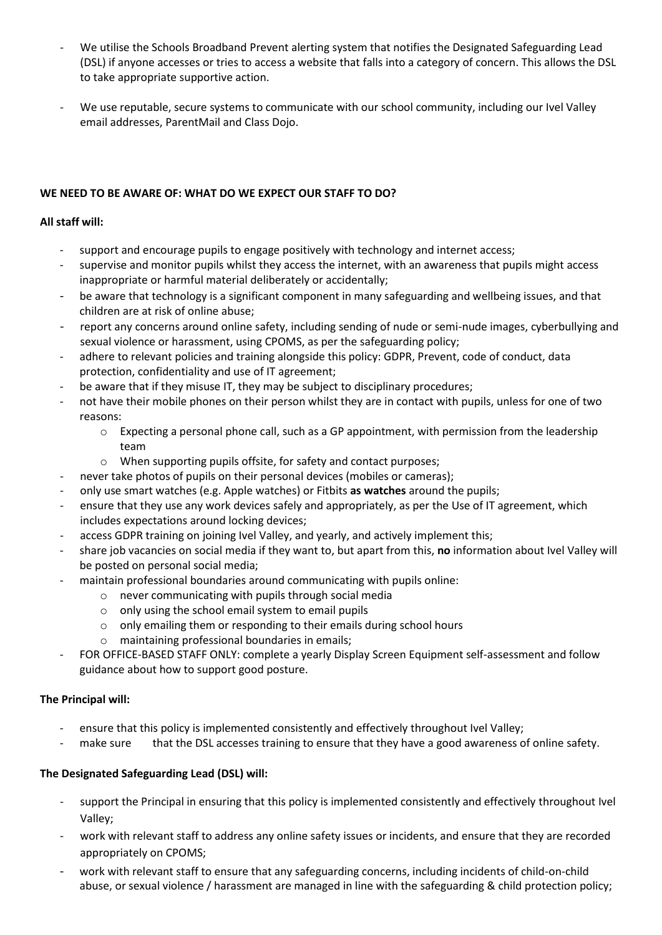- We utilise the Schools Broadband Prevent alerting system that notifies the Designated Safeguarding Lead (DSL) if anyone accesses or tries to access a website that falls into a category of concern. This allows the DSL to take appropriate supportive action.
- We use reputable, secure systems to communicate with our school community, including our Ivel Valley email addresses, ParentMail and Class Dojo.

# **WE NEED TO BE AWARE OF: WHAT DO WE EXPECT OUR STAFF TO DO?**

## **All staff will:**

- support and encourage pupils to engage positively with technology and internet access;
- supervise and monitor pupils whilst they access the internet, with an awareness that pupils might access inappropriate or harmful material deliberately or accidentally;
- be aware that technology is a significant component in many safeguarding and wellbeing issues, and that children are at risk of online abuse;
- report any concerns around online safety, including sending of nude or semi-nude images, cyberbullying and sexual violence or harassment, using CPOMS, as per the safeguarding policy;
- adhere to relevant policies and training alongside this policy: GDPR, Prevent, code of conduct, data protection, confidentiality and use of IT agreement;
- be aware that if they misuse IT, they may be subject to disciplinary procedures;
- not have their mobile phones on their person whilst they are in contact with pupils, unless for one of two reasons:
	- o Expecting a personal phone call, such as a GP appointment, with permission from the leadership team
	- o When supporting pupils offsite, for safety and contact purposes;
- never take photos of pupils on their personal devices (mobiles or cameras);
- only use smart watches (e.g. Apple watches) or Fitbits **as watches** around the pupils;
- ensure that they use any work devices safely and appropriately, as per the Use of IT agreement, which includes expectations around locking devices;
- access GDPR training on joining Ivel Valley, and yearly, and actively implement this;
- share job vacancies on social media if they want to, but apart from this, **no** information about Ivel Valley will be posted on personal social media;
- maintain professional boundaries around communicating with pupils online:
	- o never communicating with pupils through social media
	- o only using the school email system to email pupils
	- o only emailing them or responding to their emails during school hours
	- o maintaining professional boundaries in emails;
- FOR OFFICE-BASED STAFF ONLY: complete a yearly Display Screen Equipment self-assessment and follow guidance about how to support good posture.

# **The Principal will:**

- ensure that this policy is implemented consistently and effectively throughout Ivel Valley;
- make sure that the DSL accesses training to ensure that they have a good awareness of online safety.

# **The Designated Safeguarding Lead (DSL) will:**

- support the Principal in ensuring that this policy is implemented consistently and effectively throughout Ivel Valley;
- work with relevant staff to address any online safety issues or incidents, and ensure that they are recorded appropriately on CPOMS;
- work with relevant staff to ensure that any safeguarding concerns, including incidents of child-on-child abuse, or sexual violence / harassment are managed in line with the safeguarding & child protection policy;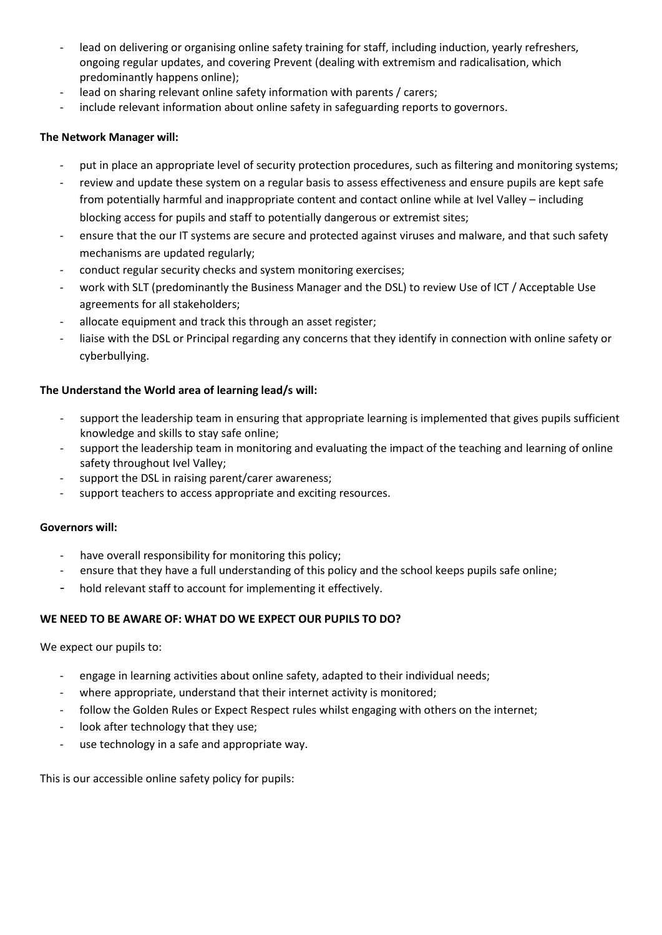- lead on delivering or organising online safety training for staff, including induction, yearly refreshers, ongoing regular updates, and covering Prevent (dealing with extremism and radicalisation, which predominantly happens online);
- lead on sharing relevant online safety information with parents / carers;
- include relevant information about online safety in safeguarding reports to governors.

## **The Network Manager will:**

- put in place an appropriate level of security protection procedures, such as filtering and monitoring systems;
- review and update these system on a regular basis to assess effectiveness and ensure pupils are kept safe from potentially harmful and inappropriate content and contact online while at Ivel Valley – including blocking access for pupils and staff to potentially dangerous or extremist sites;
- ensure that the our IT systems are secure and protected against viruses and malware, and that such safety mechanisms are updated regularly;
- conduct regular security checks and system monitoring exercises;
- work with SLT (predominantly the Business Manager and the DSL) to review Use of ICT / Acceptable Use agreements for all stakeholders;
- allocate equipment and track this through an asset register;
- liaise with the DSL or Principal regarding any concerns that they identify in connection with online safety or cyberbullying.

### **The Understand the World area of learning lead/s will:**

- support the leadership team in ensuring that appropriate learning is implemented that gives pupils sufficient knowledge and skills to stay safe online;
- support the leadership team in monitoring and evaluating the impact of the teaching and learning of online safety throughout Ivel Valley;
- support the DSL in raising parent/carer awareness;
- support teachers to access appropriate and exciting resources.

#### **Governors will:**

- have overall responsibility for monitoring this policy;
- ensure that they have a full understanding of this policy and the school keeps pupils safe online;
- hold relevant staff to account for implementing it effectively.

# **WE NEED TO BE AWARE OF: WHAT DO WE EXPECT OUR PUPILS TO DO?**

We expect our pupils to:

- engage in learning activities about online safety, adapted to their individual needs;
- where appropriate, understand that their internet activity is monitored;
- follow the Golden Rules or Expect Respect rules whilst engaging with others on the internet;
- look after technology that they use;
- use technology in a safe and appropriate way.

This is our accessible online safety policy for pupils: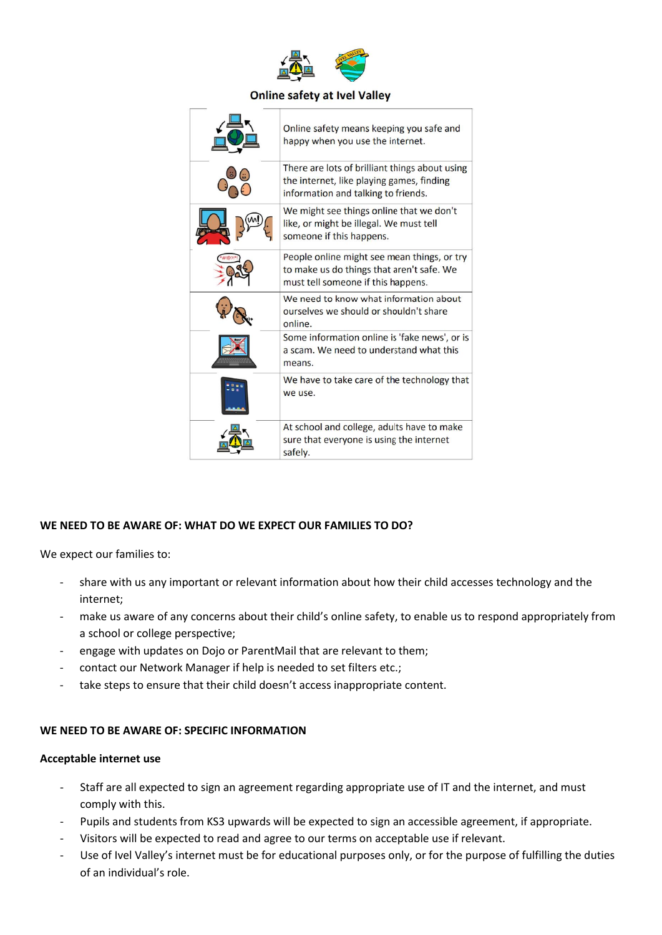

#### **Online safety at Ivel Valley**

| Online safety means keeping you safe and<br>happy when you use the internet.                                                       |
|------------------------------------------------------------------------------------------------------------------------------------|
| There are lots of brilliant things about using<br>the internet, like playing games, finding<br>information and talking to friends. |
| We might see things online that we don't<br>like, or might be illegal. We must tell<br>someone if this happens.                    |
| People online might see mean things, or try<br>to make us do things that aren't safe. We<br>must tell someone if this happens.     |
| We need to know what information about<br>ourselves we should or shouldn't share<br>online.                                        |
| Some information online is 'fake news', or is<br>a scam. We need to understand what this<br>means.                                 |
| We have to take care of the technology that<br>we use.                                                                             |
| At school and college, adults have to make<br>sure that everyone is using the internet<br>safely.                                  |

# **WE NEED TO BE AWARE OF: WHAT DO WE EXPECT OUR FAMILIES TO DO?**

We expect our families to:

- share with us any important or relevant information about how their child accesses technology and the internet;
- make us aware of any concerns about their child's online safety, to enable us to respond appropriately from a school or college perspective;
- engage with updates on Dojo or ParentMail that are relevant to them;
- contact our Network Manager if help is needed to set filters etc.;
- take steps to ensure that their child doesn't access inappropriate content.

#### **WE NEED TO BE AWARE OF: SPECIFIC INFORMATION**

#### **Acceptable internet use**

- Staff are all expected to sign an agreement regarding appropriate use of IT and the internet, and must comply with this.
- Pupils and students from KS3 upwards will be expected to sign an accessible agreement, if appropriate.
- Visitors will be expected to read and agree to our terms on acceptable use if relevant.
- Use of Ivel Valley's internet must be for educational purposes only, or for the purpose of fulfilling the duties of an individual's role.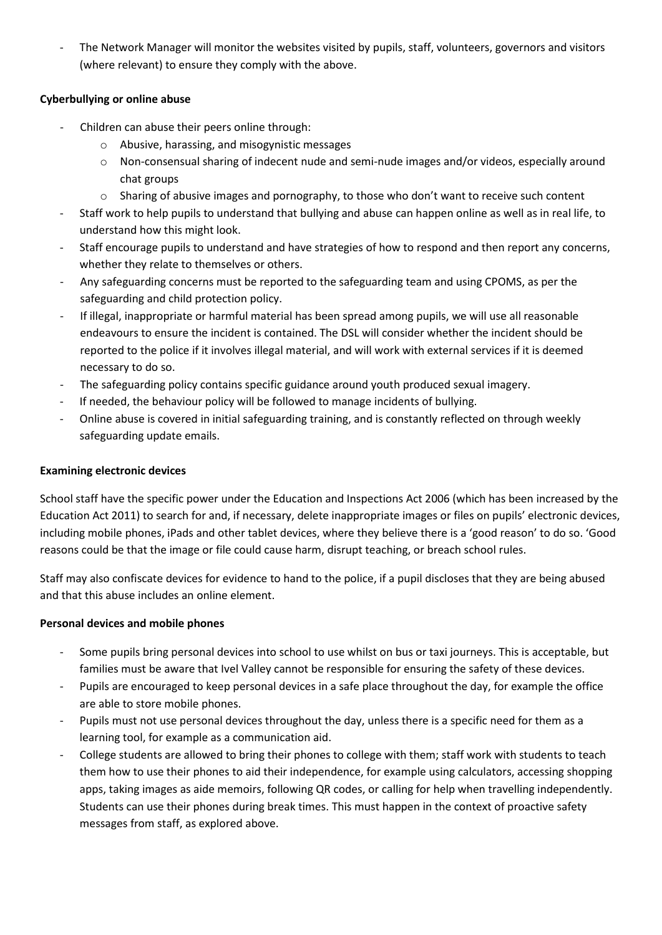The Network Manager will monitor the websites visited by pupils, staff, volunteers, governors and visitors (where relevant) to ensure they comply with the above.

# **Cyberbullying or online abuse**

- Children can abuse their peers online through:
	- o Abusive, harassing, and misogynistic messages
	- o Non-consensual sharing of indecent nude and semi-nude images and/or videos, especially around chat groups
	- o Sharing of abusive images and pornography, to those who don't want to receive such content
- Staff work to help pupils to understand that bullying and abuse can happen online as well as in real life, to understand how this might look.
- Staff encourage pupils to understand and have strategies of how to respond and then report any concerns, whether they relate to themselves or others.
- Any safeguarding concerns must be reported to the safeguarding team and using CPOMS, as per the safeguarding and child protection policy.
- If illegal, inappropriate or harmful material has been spread among pupils, we will use all reasonable endeavours to ensure the incident is contained. The DSL will consider whether the incident should be reported to the police if it involves illegal material, and will work with external services if it is deemed necessary to do so.
- The safeguarding policy contains specific guidance around youth produced sexual imagery.
- If needed, the behaviour policy will be followed to manage incidents of bullying.
- Online abuse is covered in initial safeguarding training, and is constantly reflected on through weekly safeguarding update emails.

# **Examining electronic devices**

School staff have the specific power under the Education and Inspections Act 2006 (which has been increased by the Education Act 2011) to search for and, if necessary, delete inappropriate images or files on pupils' electronic devices, including mobile phones, iPads and other tablet devices, where they believe there is a 'good reason' to do so. 'Good reasons could be that the image or file could cause harm, disrupt teaching, or breach school rules.

Staff may also confiscate devices for evidence to hand to the police, if a pupil discloses that they are being abused and that this abuse includes an online element.

# **Personal devices and mobile phones**

- Some pupils bring personal devices into school to use whilst on bus or taxi journeys. This is acceptable, but families must be aware that Ivel Valley cannot be responsible for ensuring the safety of these devices.
- Pupils are encouraged to keep personal devices in a safe place throughout the day, for example the office are able to store mobile phones.
- Pupils must not use personal devices throughout the day, unless there is a specific need for them as a learning tool, for example as a communication aid.
- College students are allowed to bring their phones to college with them; staff work with students to teach them how to use their phones to aid their independence, for example using calculators, accessing shopping apps, taking images as aide memoirs, following QR codes, or calling for help when travelling independently. Students can use their phones during break times. This must happen in the context of proactive safety messages from staff, as explored above.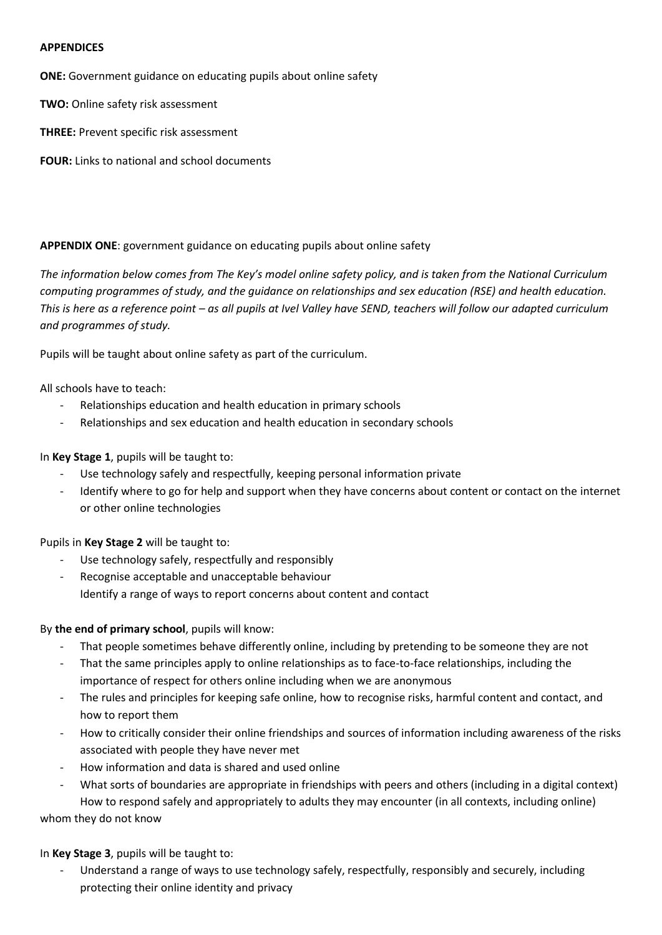#### **APPENDICES**

**ONE:** Government guidance on educating pupils about online safety

**TWO:** Online safety risk assessment

**THREE:** Prevent specific risk assessment

**FOUR:** Links to national and school documents

### **APPENDIX ONE**: government guidance on educating pupils about online safety

*The information below comes from The Key's model online safety policy, and is taken from the National Curriculum computing programmes of study, and the guidance on relationships and sex education (RSE) and health education. This is here as a reference point – as all pupils at Ivel Valley have SEND, teachers will follow our adapted curriculum and programmes of study.*

Pupils will be taught about online safety as part of the curriculum.

All schools have to teach:

- Relationships education and health education in primary schools
- Relationships and sex education and health education in secondary schools

In **Key Stage 1**, pupils will be taught to:

- Use technology safely and respectfully, keeping personal information private
- Identify where to go for help and support when they have concerns about content or contact on the internet or other online technologies

Pupils in **Key Stage 2** will be taught to:

- Use technology safely, respectfully and responsibly
- Recognise acceptable and unacceptable behaviour Identify a range of ways to report concerns about content and contact

# By **the end of primary school**, pupils will know:

- That people sometimes behave differently online, including by pretending to be someone they are not
- That the same principles apply to online relationships as to face-to-face relationships, including the importance of respect for others online including when we are anonymous
- The rules and principles for keeping safe online, how to recognise risks, harmful content and contact, and how to report them
- How to critically consider their online friendships and sources of information including awareness of the risks associated with people they have never met
- How information and data is shared and used online
- What sorts of boundaries are appropriate in friendships with peers and others (including in a digital context) How to respond safely and appropriately to adults they may encounter (in all contexts, including online)

whom they do not know

In **Key Stage 3**, pupils will be taught to:

Understand a range of ways to use technology safely, respectfully, responsibly and securely, including protecting their online identity and privacy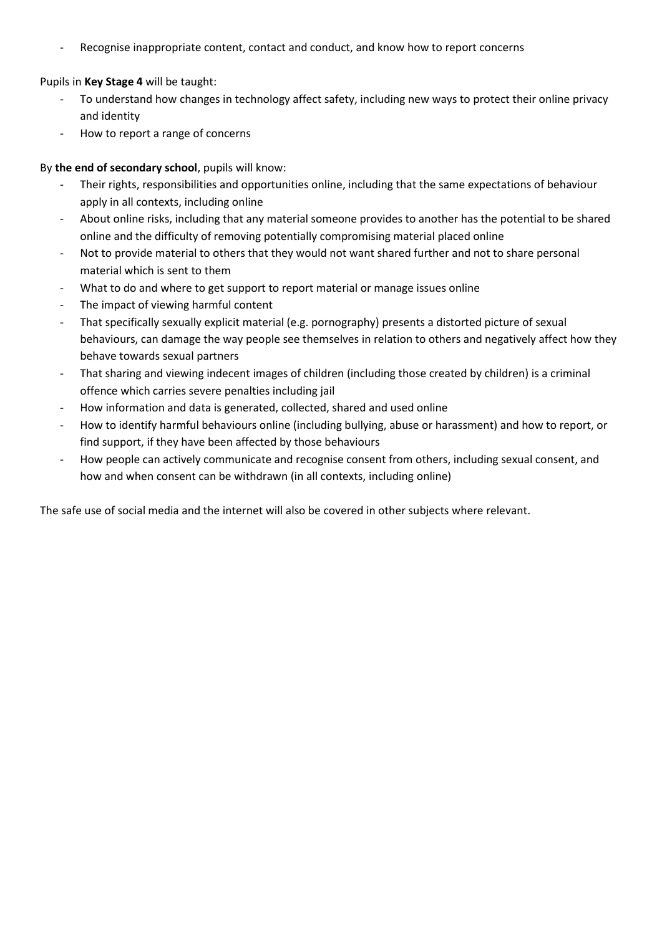Recognise inappropriate content, contact and conduct, and know how to report concerns

Pupils in **Key Stage 4** will be taught:

- To understand how changes in technology affect safety, including new ways to protect their online privacy and identity
- How to report a range of concerns

# By **the end of secondary school**, pupils will know:

- Their rights, responsibilities and opportunities online, including that the same expectations of behaviour apply in all contexts, including online
- About online risks, including that any material someone provides to another has the potential to be shared online and the difficulty of removing potentially compromising material placed online
- Not to provide material to others that they would not want shared further and not to share personal material which is sent to them
- What to do and where to get support to report material or manage issues online
- The impact of viewing harmful content
- That specifically sexually explicit material (e.g. pornography) presents a distorted picture of sexual behaviours, can damage the way people see themselves in relation to others and negatively affect how they behave towards sexual partners
- That sharing and viewing indecent images of children (including those created by children) is a criminal offence which carries severe penalties including jail
- How information and data is generated, collected, shared and used online
- How to identify harmful behaviours online (including bullying, abuse or harassment) and how to report, or find support, if they have been affected by those behaviours
- How people can actively communicate and recognise consent from others, including sexual consent, and how and when consent can be withdrawn (in all contexts, including online)

The safe use of social media and the internet will also be covered in other subjects where relevant.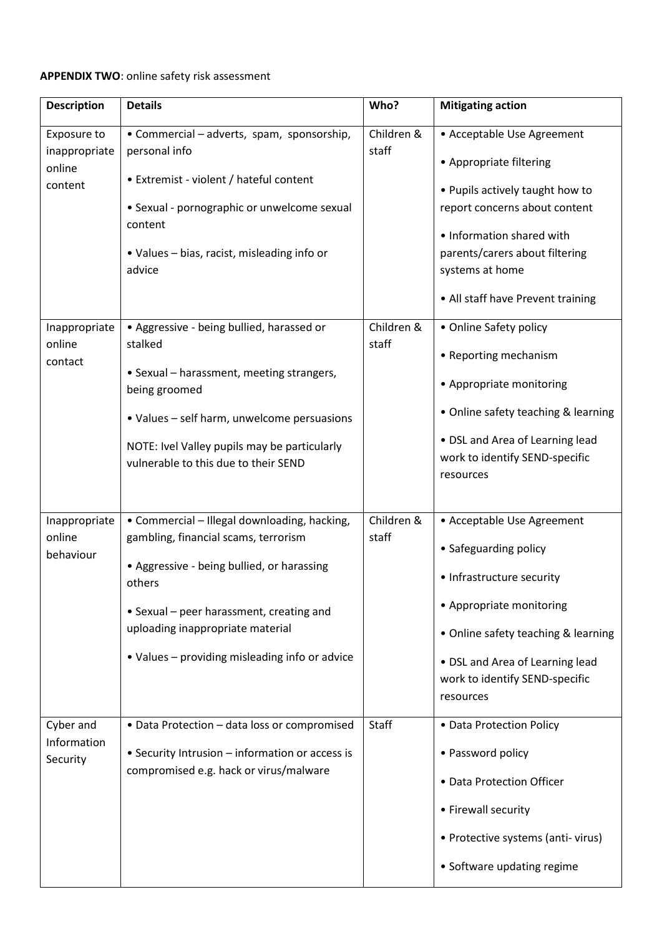# **APPENDIX TWO**: online safety risk assessment

| <b>Description</b>                                | <b>Details</b>                                                                                                                                                                                                                                                                 | Who?                | <b>Mitigating action</b>                                                                                                                                                                                                                         |
|---------------------------------------------------|--------------------------------------------------------------------------------------------------------------------------------------------------------------------------------------------------------------------------------------------------------------------------------|---------------------|--------------------------------------------------------------------------------------------------------------------------------------------------------------------------------------------------------------------------------------------------|
| Exposure to<br>inappropriate<br>online<br>content | • Commercial – adverts, spam, sponsorship,<br>personal info<br>• Extremist - violent / hateful content<br>• Sexual - pornographic or unwelcome sexual<br>content<br>• Values – bias, racist, misleading info or<br>advice                                                      | Children &<br>staff | • Acceptable Use Agreement<br>• Appropriate filtering<br>• Pupils actively taught how to<br>report concerns about content<br>• Information shared with<br>parents/carers about filtering<br>systems at home<br>• All staff have Prevent training |
| Inappropriate<br>online<br>contact                | • Aggressive - being bullied, harassed or<br>stalked<br>• Sexual - harassment, meeting strangers,<br>being groomed<br>• Values - self harm, unwelcome persuasions<br>NOTE: Ivel Valley pupils may be particularly<br>vulnerable to this due to their SEND                      | Children &<br>staff | • Online Safety policy<br>• Reporting mechanism<br>• Appropriate monitoring<br>• Online safety teaching & learning<br>• DSL and Area of Learning lead<br>work to identify SEND-specific<br>resources                                             |
| Inappropriate<br>online<br>behaviour              | • Commercial - Illegal downloading, hacking,<br>gambling, financial scams, terrorism<br>• Aggressive - being bullied, or harassing<br>others<br>• Sexual - peer harassment, creating and<br>uploading inappropriate material<br>• Values – providing misleading info or advice | Children &<br>staff | • Acceptable Use Agreement<br>• Safeguarding policy<br>• Infrastructure security<br>• Appropriate monitoring<br>• Online safety teaching & learning<br>• DSL and Area of Learning lead<br>work to identify SEND-specific<br>resources            |
| Cyber and<br>Information<br>Security              | • Data Protection - data loss or compromised<br>• Security Intrusion - information or access is<br>compromised e.g. hack or virus/malware                                                                                                                                      | <b>Staff</b>        | • Data Protection Policy<br>• Password policy<br>• Data Protection Officer<br>• Firewall security<br>• Protective systems (anti-virus)<br>• Software updating regime                                                                             |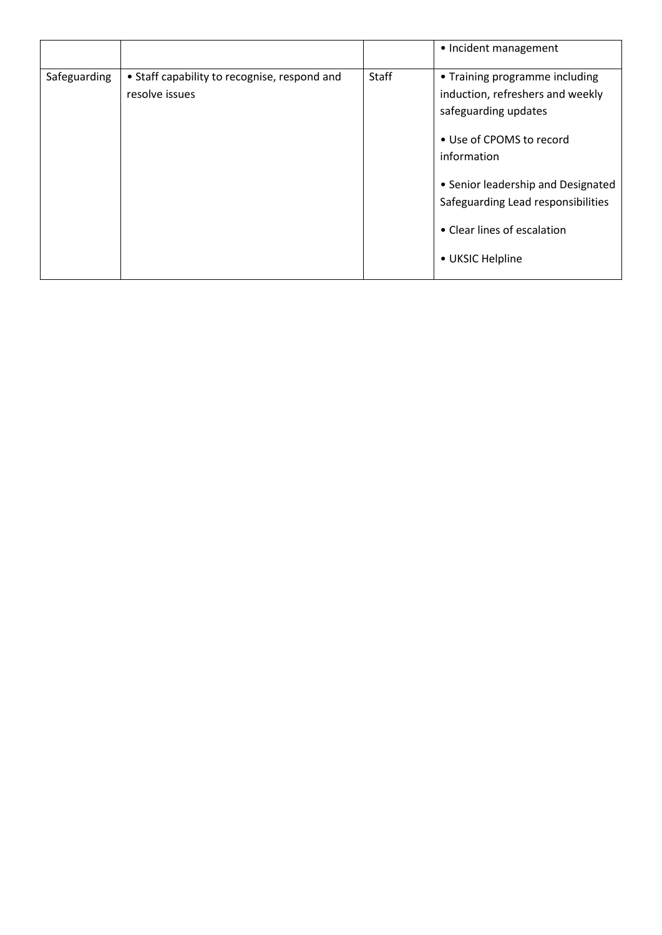|              |                                                                |       | • Incident management                                                                                                                                                                                                                                                |
|--------------|----------------------------------------------------------------|-------|----------------------------------------------------------------------------------------------------------------------------------------------------------------------------------------------------------------------------------------------------------------------|
| Safeguarding | • Staff capability to recognise, respond and<br>resolve issues | Staff | • Training programme including<br>induction, refreshers and weekly<br>safeguarding updates<br>• Use of CPOMS to record<br>information<br>• Senior leadership and Designated<br>Safeguarding Lead responsibilities<br>• Clear lines of escalation<br>• UKSIC Helpline |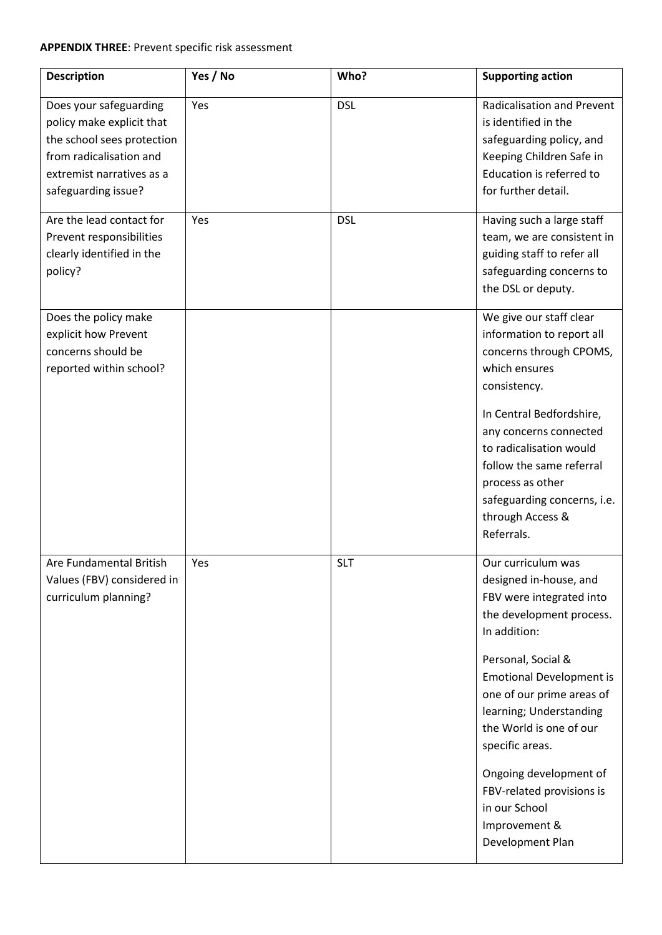# **APPENDIX THREE**: Prevent specific risk assessment

| <b>Description</b>                                                                                                                                               | Yes / No | Who?       | <b>Supporting action</b>                                                                                                                                                                                                                                                                                                                                                                         |
|------------------------------------------------------------------------------------------------------------------------------------------------------------------|----------|------------|--------------------------------------------------------------------------------------------------------------------------------------------------------------------------------------------------------------------------------------------------------------------------------------------------------------------------------------------------------------------------------------------------|
| Does your safeguarding<br>policy make explicit that<br>the school sees protection<br>from radicalisation and<br>extremist narratives as a<br>safeguarding issue? | Yes      | <b>DSL</b> | <b>Radicalisation and Prevent</b><br>is identified in the<br>safeguarding policy, and<br>Keeping Children Safe in<br>Education is referred to<br>for further detail.                                                                                                                                                                                                                             |
| Are the lead contact for<br>Prevent responsibilities<br>clearly identified in the<br>policy?                                                                     | Yes      | <b>DSL</b> | Having such a large staff<br>team, we are consistent in<br>guiding staff to refer all<br>safeguarding concerns to<br>the DSL or deputy.                                                                                                                                                                                                                                                          |
| Does the policy make<br>explicit how Prevent<br>concerns should be<br>reported within school?                                                                    |          |            | We give our staff clear<br>information to report all<br>concerns through CPOMS,<br>which ensures<br>consistency.                                                                                                                                                                                                                                                                                 |
|                                                                                                                                                                  |          |            | In Central Bedfordshire,<br>any concerns connected<br>to radicalisation would<br>follow the same referral<br>process as other<br>safeguarding concerns, i.e.<br>through Access &<br>Referrals.                                                                                                                                                                                                   |
| Are Fundamental British<br>Values (FBV) considered in<br>curriculum planning?                                                                                    | Yes      | <b>SLT</b> | Our curriculum was<br>designed in-house, and<br>FBV were integrated into<br>the development process.<br>In addition:<br>Personal, Social &<br><b>Emotional Development is</b><br>one of our prime areas of<br>learning; Understanding<br>the World is one of our<br>specific areas.<br>Ongoing development of<br>FBV-related provisions is<br>in our School<br>Improvement &<br>Development Plan |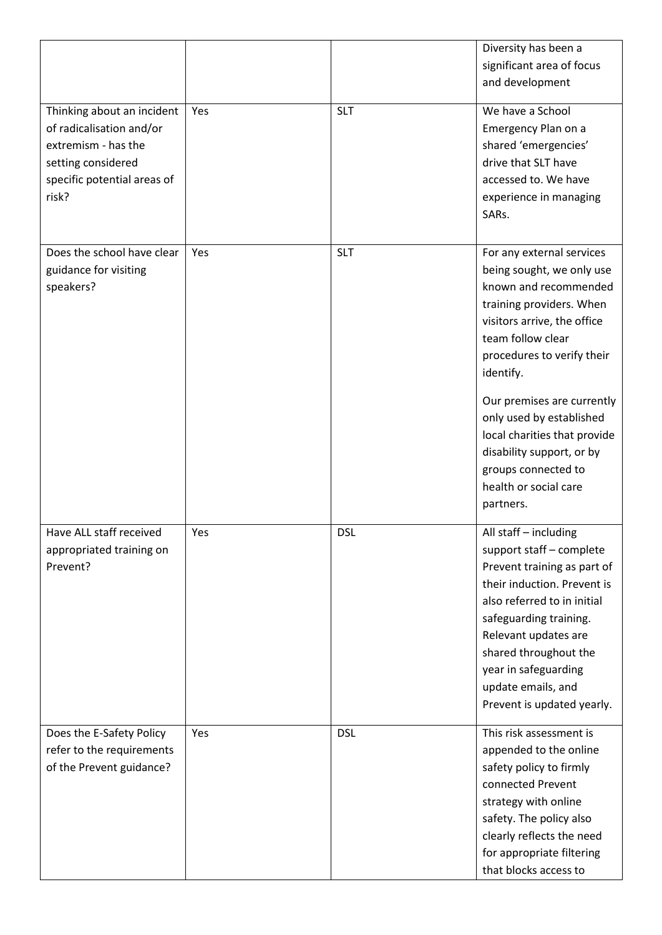|                                                                                                                                             |     |            | Diversity has been a<br>significant area of focus<br>and development                                                                                                                                                                                                                                                                                                                           |
|---------------------------------------------------------------------------------------------------------------------------------------------|-----|------------|------------------------------------------------------------------------------------------------------------------------------------------------------------------------------------------------------------------------------------------------------------------------------------------------------------------------------------------------------------------------------------------------|
| Thinking about an incident<br>of radicalisation and/or<br>extremism - has the<br>setting considered<br>specific potential areas of<br>risk? | Yes | <b>SLT</b> | We have a School<br>Emergency Plan on a<br>shared 'emergencies'<br>drive that SLT have<br>accessed to. We have<br>experience in managing<br>SARs.                                                                                                                                                                                                                                              |
| Does the school have clear<br>guidance for visiting<br>speakers?                                                                            | Yes | <b>SLT</b> | For any external services<br>being sought, we only use<br>known and recommended<br>training providers. When<br>visitors arrive, the office<br>team follow clear<br>procedures to verify their<br>identify.<br>Our premises are currently<br>only used by established<br>local charities that provide<br>disability support, or by<br>groups connected to<br>health or social care<br>partners. |
| Have ALL staff received<br>appropriated training on<br>Prevent?                                                                             | Yes | <b>DSL</b> | All staff - including<br>support staff - complete<br>Prevent training as part of<br>their induction. Prevent is<br>also referred to in initial<br>safeguarding training.<br>Relevant updates are<br>shared throughout the<br>year in safeguarding<br>update emails, and<br>Prevent is updated yearly.                                                                                          |
| Does the E-Safety Policy<br>refer to the requirements<br>of the Prevent guidance?                                                           | Yes | <b>DSL</b> | This risk assessment is<br>appended to the online<br>safety policy to firmly<br>connected Prevent<br>strategy with online<br>safety. The policy also<br>clearly reflects the need<br>for appropriate filtering<br>that blocks access to                                                                                                                                                        |